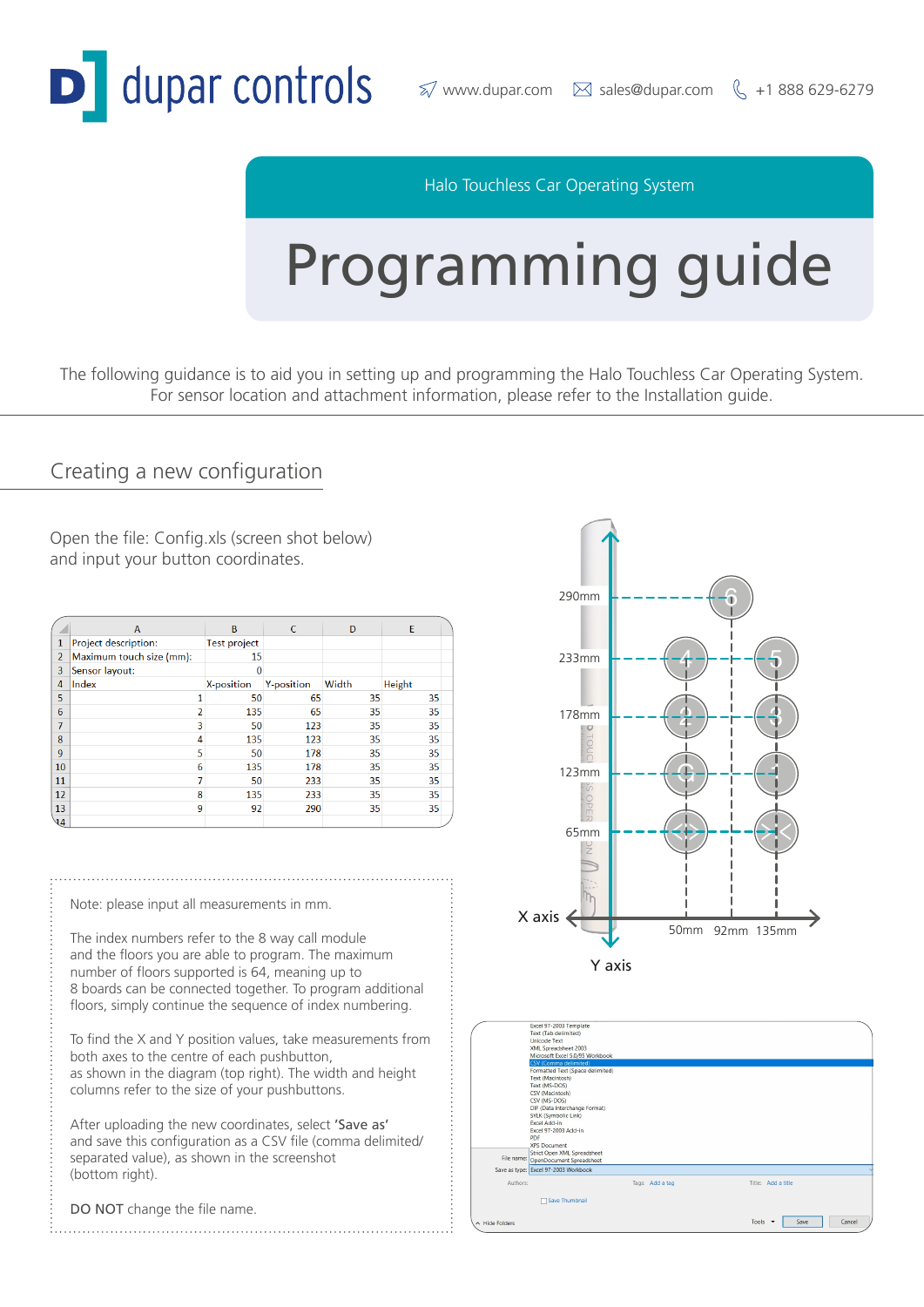

#### Halo Touchless Car Operating System

# Programming guide

The following guidance is to aid you in setting up and programming the Halo Touchless Car Operating System. For sensor location and attachment information, please refer to the Installation guide.

#### Creating a new configuration

Open the file: Config.xls (screen shot below) and input your button coordinates.

|                | A                        | B                   | C                 | D     | E      |
|----------------|--------------------------|---------------------|-------------------|-------|--------|
| 1              | Project description:     | <b>Test project</b> |                   |       |        |
| $\overline{2}$ | Maximum touch size (mm): | 15                  |                   |       |        |
| 3              | Sensor layout:           | $\bf{0}$            |                   |       |        |
| 4              | Index                    | X-position          | <b>Y-position</b> | Width | Height |
| 5              |                          | 50                  | 65                | 35    | 35     |
| 6              |                          | 135                 | 65                | 35    | 35     |
| 7              | 3                        | 50                  | 123               | 35    | 35     |
| 8              | 4                        | 135                 | 123               | 35    | 35     |
| 9              | 5                        | 50                  | 178               | 35    | 35     |
| 10             | 6                        | 135                 | 178               | 35    | 35     |
| 11             |                          | 50                  | 233               | 35    | 35     |
| 12             | 8                        | 135                 | 233               | 35    | 35     |
| 13             | 9                        | 92                  | 290               | 35    | 35     |
| $\sqrt{4}$     |                          |                     |                   |       |        |

Note: please input all measurements in mm.

The index numbers refer to the 8 way call module and the floors you are able to program. The maximum number of floors supported is 64, meaning up to 8 boards can be connected together. To program additional floors, simply continue the sequence of index numbering.

To find the X and Y position values, take measurements from both axes to the centre of each pushbutton, as shown in the diagram (top right). The width and height columns refer to the size of your pushbuttons.

After uploading the new coordinates, select 'Save as' and save this configuration as a CSV file (comma delimited/ separated value), as shown in the screenshot (bottom right).

DO NOT change the file name.



|                      | Excel 97-2003 Template                                  |                 |                                                     |  |
|----------------------|---------------------------------------------------------|-----------------|-----------------------------------------------------|--|
|                      | Text (Tab delimited)<br><b>Unicode Text</b>             |                 |                                                     |  |
|                      |                                                         |                 |                                                     |  |
|                      | XML Spreadsheet 2003<br>Microsoft Excel 5.0/95 Workbook |                 |                                                     |  |
|                      | CSV (Comma delimited)                                   |                 |                                                     |  |
|                      | Formatted Text (Space delimited)                        |                 |                                                     |  |
|                      | Text (Macintosh)                                        |                 |                                                     |  |
|                      | Text (MS-DOS)                                           |                 |                                                     |  |
|                      | CSV (Macintosh)                                         |                 |                                                     |  |
|                      | CSV (MS-DOS)                                            |                 |                                                     |  |
|                      | DIF (Data Interchange Format)                           |                 |                                                     |  |
|                      | SYLK (Symbolic Link)                                    |                 |                                                     |  |
|                      | <b>Excel Add-in</b>                                     |                 |                                                     |  |
|                      | Excel 97-2003 Add-in                                    |                 |                                                     |  |
|                      | PDF                                                     |                 |                                                     |  |
|                      | <b>XPS Document</b>                                     |                 |                                                     |  |
|                      | Strict Open XML Spreadsheet                             |                 |                                                     |  |
| File name:           | OpenDocument Spreadsheet                                |                 |                                                     |  |
|                      | Save as type: Excel 97-2003 Workbook                    |                 |                                                     |  |
| Authors:             |                                                         | Tags: Add a tag | Title: Add a title                                  |  |
|                      |                                                         |                 |                                                     |  |
|                      | Save Thumbnail                                          |                 |                                                     |  |
|                      |                                                         |                 |                                                     |  |
|                      |                                                         |                 | Tools<br>Save<br>Cancel<br>$\overline{\phantom{a}}$ |  |
| $\land$ Hide Folders |                                                         |                 |                                                     |  |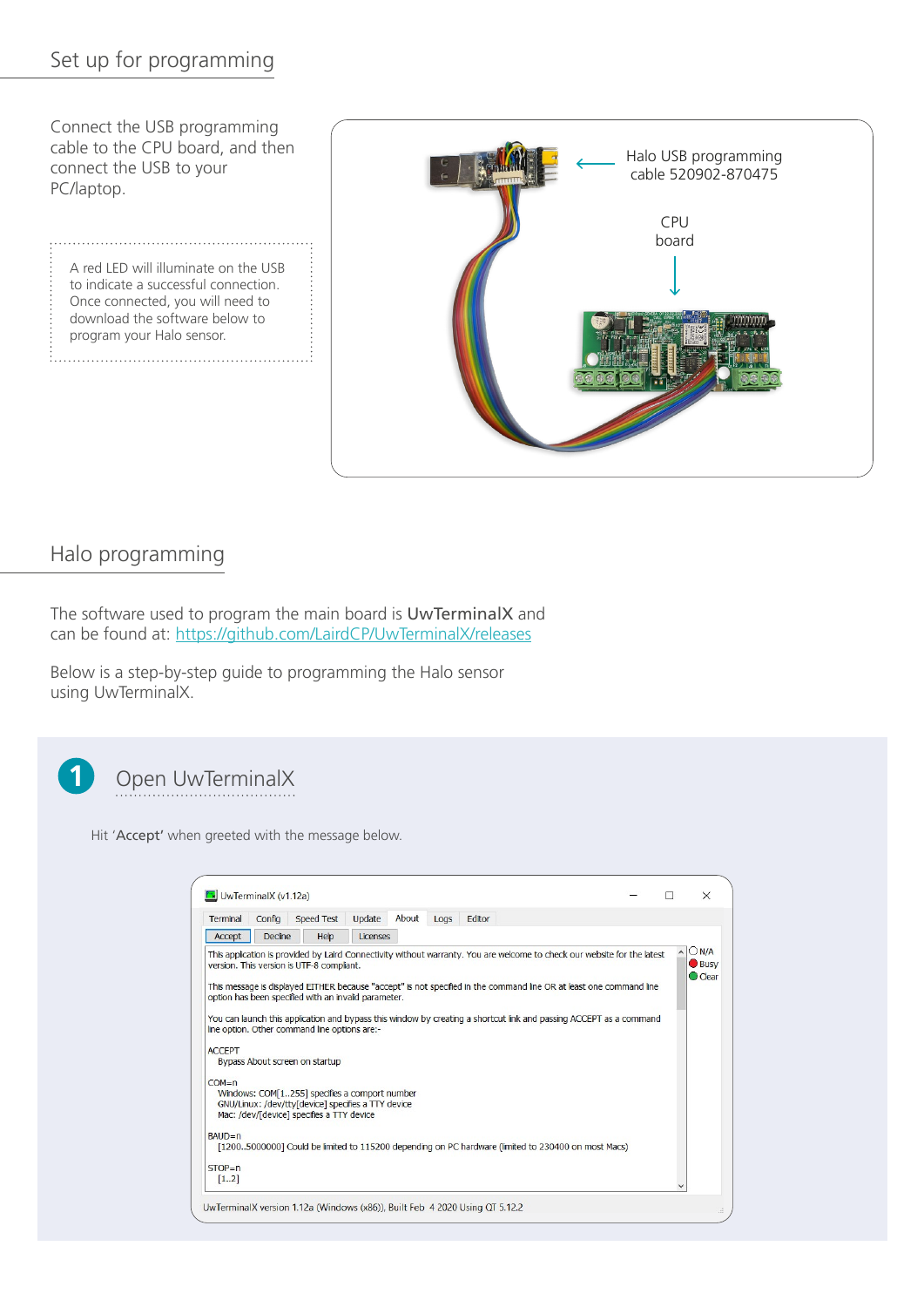#### Set up for programming

Connect the USB programming cable to the CPU board, and then connect the USB to your PC/laptop.

A red LED will illuminate on the USB to indicate a successful connection. Once connected, you will need to download the software below to program your Halo sensor.



#### Halo programming

The software used to program the main board is UwTerminalX and can be found at:<https://github.com/LairdCP/UwTerminalX/releases>

Below is a step-by-step guide to programming the Halo sensor using UwTerminalX.



### Open UwTerminalX

Hit 'Accept' when greeted with the message below.

| Terminal                   | Config         | Speed Test                                                                                                                                                                                                                                                                                                                               | Update   | About | Logs | Editor |                                                                                                                                                                                                                                                                                                                                                                       |  |                                |
|----------------------------|----------------|------------------------------------------------------------------------------------------------------------------------------------------------------------------------------------------------------------------------------------------------------------------------------------------------------------------------------------------|----------|-------|------|--------|-----------------------------------------------------------------------------------------------------------------------------------------------------------------------------------------------------------------------------------------------------------------------------------------------------------------------------------------------------------------------|--|--------------------------------|
| Accept                     | <b>Decline</b> | Help                                                                                                                                                                                                                                                                                                                                     | Licenses |       |      |        |                                                                                                                                                                                                                                                                                                                                                                       |  |                                |
| <b>ACCEPT</b><br>$COM = n$ |                | version. This version is UTF-8 compliant.<br>option has been specified with an invalid parameter.<br>line option. Other command line options are:-<br>Bypass About screen on startup<br>Windows: COM[1255] specifies a comport number<br>GNU/Linux: /dev/ttv[device] specifies a TTY device<br>Mac: /dev/[device] specifies a TTY device |          |       |      |        | This application is provided by Laird Connectivity without warranty. You are welcome to check our website for the latest<br>This message is displayed EITHER because "accept" is not specified in the command line OR at least one command line<br>You can launch this application and bypass this window by creating a shortcut link and passing ACCEPT as a command |  | ON/A<br><b>Busy</b><br>C Clear |
| $BAID = n$<br>$STOP = n$   |                |                                                                                                                                                                                                                                                                                                                                          |          |       |      |        | [12005000000] Could be limited to 115200 depending on PC hardware (limited to 230400 on most Macs)                                                                                                                                                                                                                                                                    |  |                                |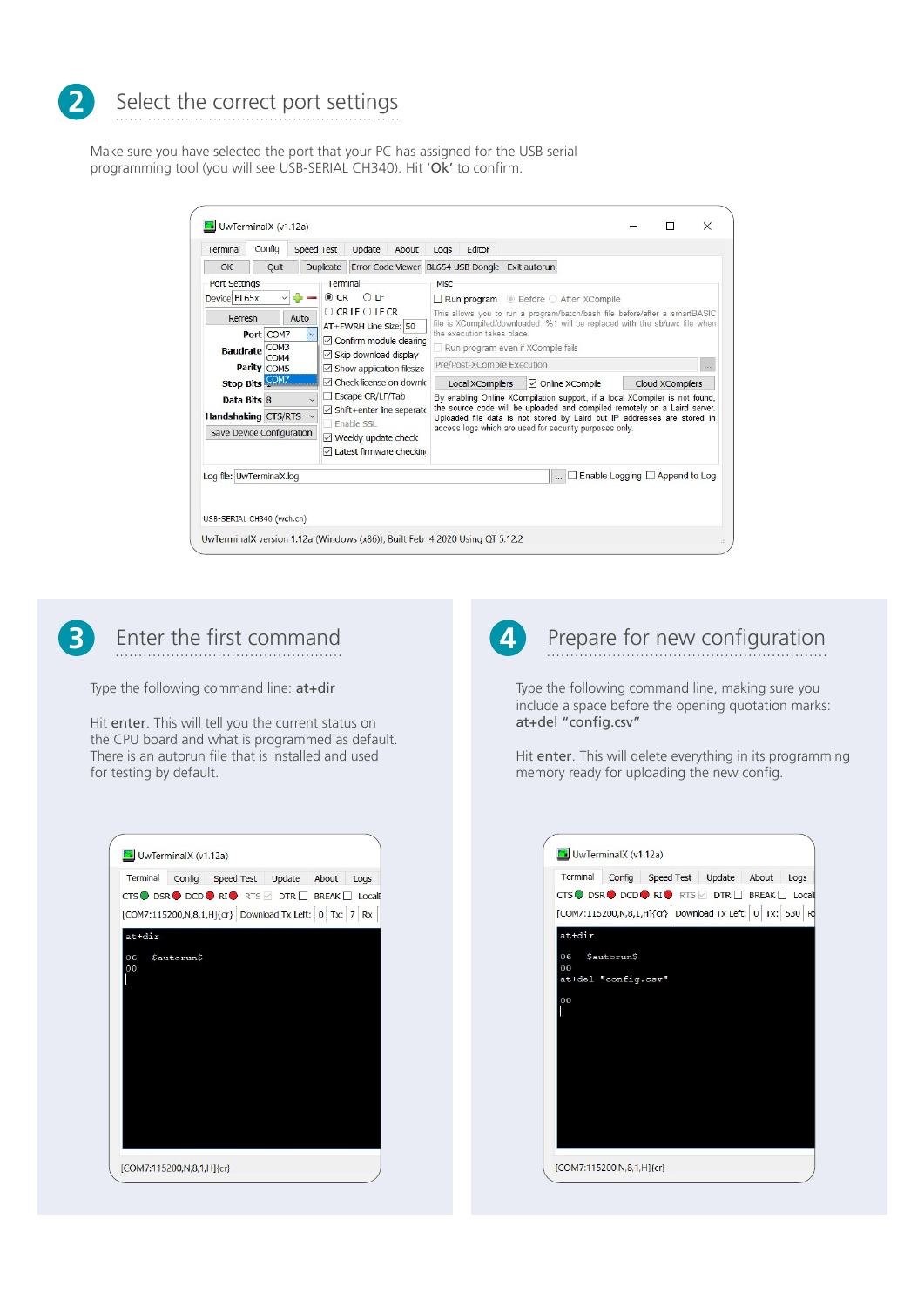

# Select the correct port settings

Make sure you have selected the port that your PC has assigned for the USB serial programming tool (you will see USB-SERIAL CH340). Hit 'Ok' to confirm.

| Terminal                                                                                                                                                                                                                                                                                                                                                                                                                                                                                                                                                                                                                            | Config | <b>Speed Test</b> |                  | Update                   | About       | Logs                                                  | Editor                                                            |                                                                                                                                                                                                                                                                                                                                                                                                                                                                                                                              |                                            |  |  |
|-------------------------------------------------------------------------------------------------------------------------------------------------------------------------------------------------------------------------------------------------------------------------------------------------------------------------------------------------------------------------------------------------------------------------------------------------------------------------------------------------------------------------------------------------------------------------------------------------------------------------------------|--------|-------------------|------------------|--------------------------|-------------|-------------------------------------------------------|-------------------------------------------------------------------|------------------------------------------------------------------------------------------------------------------------------------------------------------------------------------------------------------------------------------------------------------------------------------------------------------------------------------------------------------------------------------------------------------------------------------------------------------------------------------------------------------------------------|--------------------------------------------|--|--|
| OK                                                                                                                                                                                                                                                                                                                                                                                                                                                                                                                                                                                                                                  | Quit   |                   | <b>Duplicate</b> | <b>Error Code Viewer</b> |             |                                                       |                                                                   | BL654 USB Dongle - Exit autorun                                                                                                                                                                                                                                                                                                                                                                                                                                                                                              |                                            |  |  |
| <b>Port Settings</b><br>Terminal<br>$\odot$ CR<br>Device BL65x<br>OIF<br>$\vee$ $\subset$<br>$O$ CR LE $O$ LE CR<br>Auto<br>Refresh<br>AT+FWRH Line Size: 50<br>Port COM7<br>$\triangledown$ Confirm module clearing<br>COM <sub>3</sub><br><b>Baudrate</b><br>$\boxtimes$ Skip download display<br>COM <sub>4</sub><br>Parity COM5<br>$\vee$ Show application filesize<br>Stop Bits COM7<br>$\triangledown$ Check license on downk<br>Escape CR/LF/Tab<br>Data Bits 8<br>Shift+enter line seperato<br>Handshaking CTS/RTS v<br>Fnable SSL<br>Save Device Configuration<br>$\vee$ Weekly update check<br>□ Latest firmware checking |        |                   |                  |                          | <b>Misc</b> | the execution takes place.<br><b>Local XCompilers</b> | Run program even if XCompile fails<br>Pre/Post-XCompile Execution | Run program <b>Before After XCompile</b><br>This allows you to run a program/batch/bash file before/after a smartBASIC<br>file is XCompiled/downloaded. %1 will be replaced with the sb/uwc file when<br>☑ Online XCompile<br>By enabling Online XCompilation support, if a local XCompiler is not found,<br>the source code will be uploaded and compiled remotely on a Laird server.<br>Uploaded file data is not stored by Laird but IP addresses are stored in<br>access logs which are used for security purposes only. | <b>Cloud XCompilers</b>                    |  |  |
| Log file: UwTerminalX.log                                                                                                                                                                                                                                                                                                                                                                                                                                                                                                                                                                                                           |        |                   |                  |                          |             |                                                       |                                                                   |                                                                                                                                                                                                                                                                                                                                                                                                                                                                                                                              | $\Box$ Enable Logging $\Box$ Append to Log |  |  |



Type the following command line: at+dir

Hit enter. This will tell you the current status on the CPU board and what is programmed as default. There is an autorun file that is installed and used for testing by default.

| Terminal |            | Config Speed Test Update                                                                                                                         | About | Logs |
|----------|------------|--------------------------------------------------------------------------------------------------------------------------------------------------|-------|------|
|          |            | $CTS$ O DSR O DCD O RIO RTS $\Box$ DTR $\Box$ BREAK $\Box$ Locale<br>[COM7:115200,N,8,1,H]{cr} Download Tx Left: $\boxed{0}$ Tx: $\boxed{7}$ Rx: |       |      |
| at+dir   |            |                                                                                                                                                  |       |      |
| 06<br>00 | Sautorun\$ |                                                                                                                                                  |       |      |
|          |            |                                                                                                                                                  |       |      |
|          |            |                                                                                                                                                  |       |      |
|          |            |                                                                                                                                                  |       |      |
|          |            |                                                                                                                                                  |       |      |
|          |            |                                                                                                                                                  |       |      |
|          |            |                                                                                                                                                  |       |      |
|          |            |                                                                                                                                                  |       |      |



Type the following command line, making sure you include a space before the opening quotation marks: at+del "config.csv"

Hit enter. This will delete everything in its programming memory ready for uploading the new config.

| Terminal            |  | Config Speed Test Update About                                    | Logs |
|---------------------|--|-------------------------------------------------------------------|------|
|                     |  | $CTS$ O DSR O DCD O RIO RTS $\Box$ DTR $\Box$ BREAK $\Box$ Locale |      |
|                     |  | [COM7:115200,N,8,1,H]{cr} Download Tx Left: 0 Tx: 530 R           |      |
| at+dir              |  |                                                                   |      |
|                     |  |                                                                   |      |
| 06 Sautorun\$<br>00 |  |                                                                   |      |
| at+del "config.csv" |  |                                                                   |      |
| 00                  |  |                                                                   |      |
|                     |  |                                                                   |      |
|                     |  |                                                                   |      |
|                     |  |                                                                   |      |
|                     |  |                                                                   |      |
|                     |  |                                                                   |      |
|                     |  |                                                                   |      |
|                     |  |                                                                   |      |
|                     |  |                                                                   |      |
|                     |  |                                                                   |      |
|                     |  |                                                                   |      |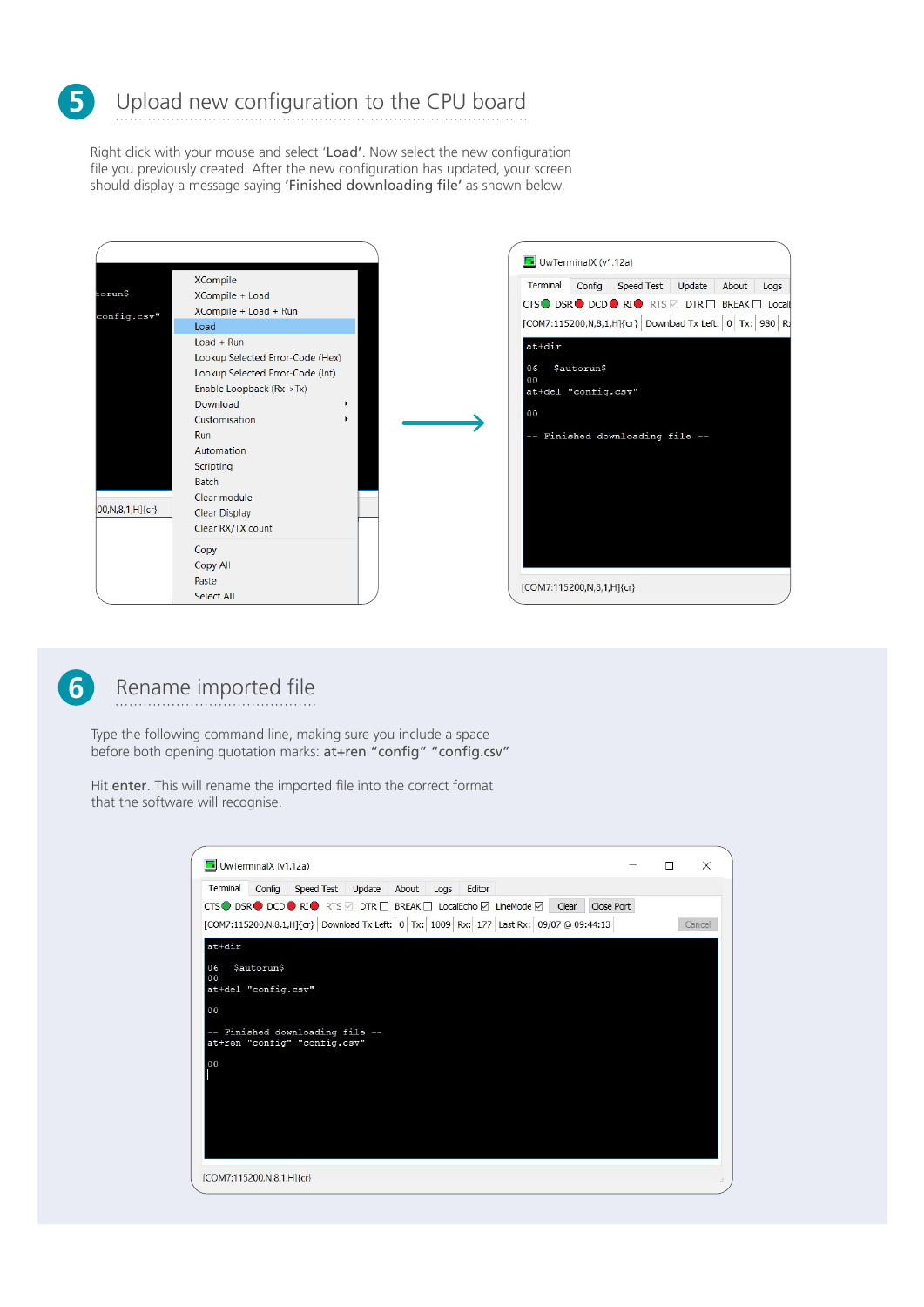

Right click with your mouse and select 'Load'. Now select the new configuration file you previously created. After the new configuration has updated, your screen should display a message saying 'Finished downloading file' as shown below.





## Rename imported file

Type the following command line, making sure you include a space before both opening quotation marks: at+ren "config" "config.csv"

Hit enter. This will rename the imported file into the correct format that the software will recognise.

| <b>M</b> UwTerminalX (v1.12a) |                             |                              |                                     |                                                                                          |  | $\times$ |
|-------------------------------|-----------------------------|------------------------------|-------------------------------------|------------------------------------------------------------------------------------------|--|----------|
| Terminal                      | Config                      |                              | Speed Test Update About Logs Editor |                                                                                          |  |          |
|                               |                             |                              |                                     | CTS ● DSR ● DCD ● RI ● RTS Ø DTR □ BREAK □ LocalEcho Ø LineMode Ø   Clear   Close Port   |  |          |
|                               |                             |                              |                                     | [COM7:115200,N,8,1,H]{cr} Download Tx Left: 0 Tx: 1009 Rx: 177 Last Rx: 09/07 @ 09:44:13 |  | Cancel   |
| $at+dir$                      |                             |                              |                                     |                                                                                          |  |          |
|                               |                             |                              |                                     |                                                                                          |  |          |
| 06<br>00                      | \$autorun\$                 |                              |                                     |                                                                                          |  |          |
|                               | at+del "config.csv"         |                              |                                     |                                                                                          |  |          |
| 0 <sub>0</sub>                |                             |                              |                                     |                                                                                          |  |          |
|                               |                             |                              |                                     |                                                                                          |  |          |
| 9                             |                             | Finished downloading file -- |                                     |                                                                                          |  |          |
|                               |                             | at+ren "config" "config.csv" |                                     |                                                                                          |  |          |
| 00                            |                             |                              |                                     |                                                                                          |  |          |
|                               |                             |                              |                                     |                                                                                          |  |          |
|                               |                             |                              |                                     |                                                                                          |  |          |
|                               |                             |                              |                                     |                                                                                          |  |          |
|                               |                             |                              |                                     |                                                                                          |  |          |
|                               |                             |                              |                                     |                                                                                          |  |          |
|                               |                             |                              |                                     |                                                                                          |  |          |
|                               |                             |                              |                                     |                                                                                          |  |          |
|                               | [COM7:115200, N.8.1, H]{cr} |                              |                                     |                                                                                          |  |          |